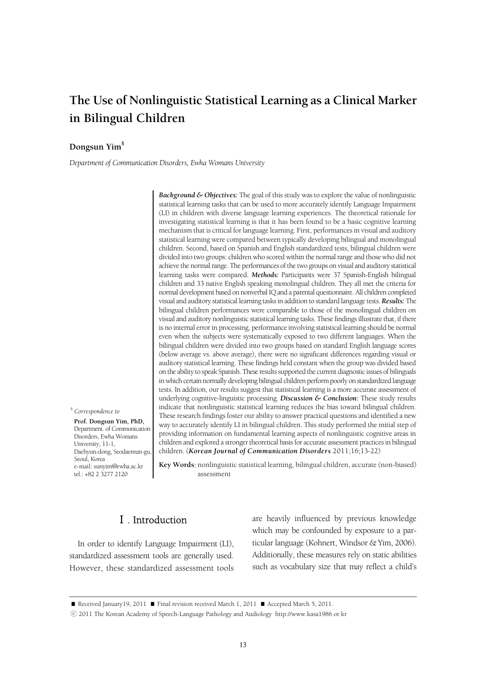## **The Use of Nonlinguistic Statistical Learning as a Clinical Marker in Bilingual Children**

#### **Dongsun Yim§**

*Department of Communication Disorders, Ewha Womans University*

*Background & Objectives:* The goal of this study was to explore the value of nonlinguistic statistical learning tasks that can be used to more accurately identify Language Impairment (LI) in children with diverse language learning experiences. The theoretical rationale for investigating statistical learning is that it has been found to be a basic cognitive learning mechanism that is critical for language learning. First, performances in visual and auditory statistical learning were compared between typically developing bilingual and monolingual children. Second, based on Spanish and English standardized tests, bilingual children were divided into two groups: children who scored within the normal range and those who did not achieve the normal range. The performances of the two groups on visual and auditory statistical learning tasks were compared. *Methods:* Participants were 37 Spanish-English bilingual children and 33 native English speaking monolingual children. They all met the criteria for normal development based on nonverbal IQ and a parental questionnaire. All children completed visual and auditory statistical learning tasks in addition to standard language tests. *Results:* The bilingual children performances were comparable to those of the monolingual children on visual and auditory nonlinguistic statistical learning tasks. These findings illustrate that, if there is no internal error in processing, performance involving statistical learning should be normal even when the subjects were systematically exposed to two different languages. When the bilingual children were divided into two groups based on standard English language scores (below average vs. above average), there were no significant differences regarding visual or auditory statistical learning. These findings held constant when the group was divided based on the ability to speak Spanish. These results supported the current diagnostic issues of bilinguals in which certain normally developing bilingual children perform poorly on standardized language tests. In addition, our results suggest that statistical learning is a more accurate assessment of underlying cognitive-linguistic processing. *Discussion & Conclusion:* These study results indicate that nonlinguistic statistical learning reduces the bias toward bilingual children. These research findings foster our ability to answer practical questions and identified a new way to accurately identify LI in bilingual children. This study performed the initial step of providing information on fundamental learning aspects of nonlinguistic cognitive areas in children and explored a stronger theoretical basis for accurate assessment practices in bilingual children. (*Korean Journal of Communication Disorders* 2011;16;13-22)

§ *Correspondence to* 

 **Prof. Dongsun Yim, PhD,**  Department. of Communication Disorders, Ewha Womans University, 11-1, Daehyun-dong, Seodaemun-gu, Seoul, Korea e-mail: sunyim@ewha.ac.kr tel.: +82 2 3277 2120

**Key Words**: nonlinguistic statistical learning, bilingual children, accurate (non-biased) assessment

## Ⅰ. Introduction

In order to identify Language Impairment (LI), standardized assessment tools are generally used. However, these standardized assessment tools are heavily influenced by previous knowledge which may be confounded by exposure to a particular language (Kohnert, Windsor & Yim, 2006). Additionally, these measures rely on static abilities such as vocabulary size that may reflect a child's

<sup>■</sup> Received January19, 2011 ■ Final revision received March 1, 2011 ■ Accepted March 5, 2011.

<sup>ⓒ</sup> 2011 The Korean Academy of Speech-Language Pathology and Audiology http://www.kasa1986.or.kr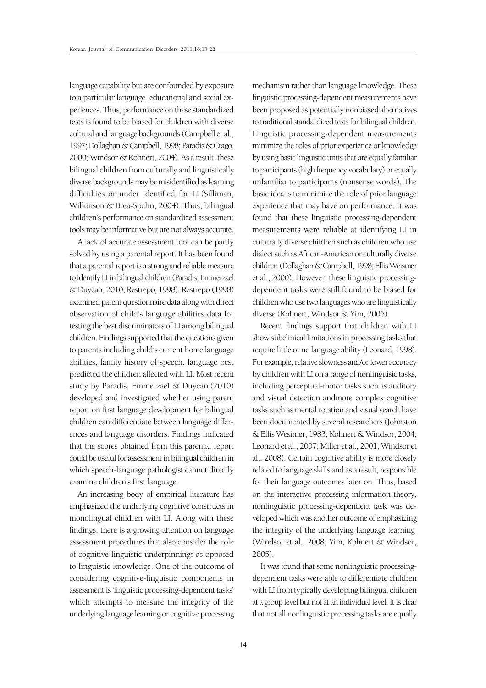language capability but are confounded by exposure to a particular language, educational and social experiences. Thus, performance on these standardized tests is found to be biased for children with diverse cultural and language backgrounds (Campbell et al., 1997; Dollaghan & Campbell, 1998; Paradis & Crago, 2000; Windsor & Kohnert, 2004). As a result, these bilingual children from culturally and linguistically diverse backgrounds may be misidentified as learning difficulties or under identified for LI (Silliman, Wilkinson & Brea-Spahn, 2004). Thus, bilingual children's performance on standardized assessment tools may be informative but are not always accurate.

A lack of accurate assessment tool can be partly solved by using a parental report. It has been found that a parental report is a strong and reliable measure to identify LI in bilingual children (Paradis, Emmerzael & Duycan, 2010; Restrepo, 1998). Restrepo (1998) examined parent questionnaire data along with direct observation of child's language abilities data for testing the best discriminators of LI among bilingual children. Findings supported that the questions given to parents including child's current home language abilities, family history of speech, language best predicted the children affected with LI. Most recent study by Paradis, Emmerzael & Duycan (2010) developed and investigated whether using parent report on first language development for bilingual children can differentiate between language differences and language disorders. Findings indicated that the scores obtained from this parental report could be useful for assessment in bilingual children in which speech-language pathologist cannot directly examine children's first language.

An increasing body of empirical literature has emphasized the underlying cognitive constructs in monolingual children with LI. Along with these findings, there is a growing attention on language assessment procedures that also consider the role of cognitive-linguistic underpinnings as opposed to linguistic knowledge. One of the outcome of considering cognitive-linguistic components in assessment is 'linguistic processing-dependent tasks' which attempts to measure the integrity of the underlying language learning or cognitive processing

mechanism rather than language knowledge. These linguistic processing-dependent measurements have been proposed as potentially nonbiased alternatives to traditional standardized tests for bilingual children. Linguistic processing-dependent measurements minimize the roles of prior experience or knowledge by using basic linguistic units that are equally familiar to participants (high frequency vocabulary) or equally unfamiliar to participants (nonsense words). The basic idea is to minimize the role of prior language experience that may have on performance. It was found that these linguistic processing-dependent measurements were reliable at identifying LI in culturally diverse children such as children who use dialect such as African-American or culturally diverse children (Dollaghan & Campbell, 1998; Ellis Weismer et al., 2000). However, these linguistic processingdependent tasks were still found to be biased for children who use two languages who are linguistically diverse (Kohnert, Windsor & Yim, 2006).

Recent findings support that children with LI show subclinical limitations in processing tasks that require little or no language ability (Leonard, 1998). For example, relative slowness and/or lower accuracy by children with LI on a range of nonlinguisic tasks, including perceptual-motor tasks such as auditory and visual detection andmore complex cognitive tasks such as mental rotation and visual search have been documented by several researchers (Johnston & Ellis Wesimer, 1983; Kohnert & Windsor, 2004; Leonard et al., 2007; Miller et al., 2001; Windsor et al., 2008). Certain cognitive ability is more closely related to language skills and as a result, responsible for their language outcomes later on. Thus, based on the interactive processing information theory, nonlinguistic processing-dependent task was developed which was another outcome of emphasizing the integrity of the underlying language learning (Windsor et al., 2008; Yim, Kohnert & Windsor, 2005).

It was found that some nonlinguistic processingdependent tasks were able to differentiate children with LI from typically developing bilingual children at a group level but not at an individual level. It is clear that not all nonlinguistic processing tasks are equally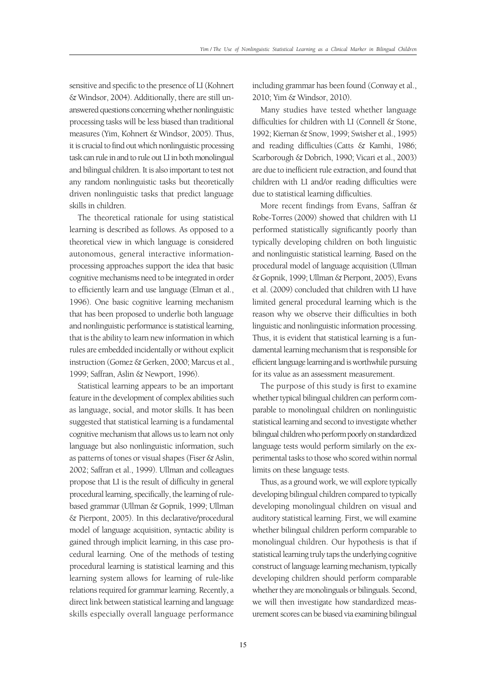sensitive and specific to the presence of LI (Kohnert & Windsor, 2004). Additionally, there are still unanswered questions concerning whether nonlinguistic processing tasks will be less biased than traditional measures (Yim, Kohnert & Windsor, 2005). Thus, it is crucial to find out which nonlinguistic processing task can rule in and to rule out LI in both monolingual and bilingual children. It is also important to test not any random nonlinguistic tasks but theoretically driven nonlinguistic tasks that predict language skills in children.

The theoretical rationale for using statistical learning is described as follows. As opposed to a theoretical view in which language is considered autonomous, general interactive informationprocessing approaches support the idea that basic cognitive mechanisms need to be integrated in order to efficiently learn and use language (Elman et al., 1996). One basic cognitive learning mechanism that has been proposed to underlie both language and nonlinguistic performance is statistical learning, that is the ability to learn new information in which rules are embedded incidentally or without explicit instruction (Gomez & Gerken, 2000; Marcus et al., 1999; Saffran, Aslin & Newport, 1996).

Statistical learning appears to be an important feature in the development of complex abilities such as language, social, and motor skills. It has been suggested that statistical learning is a fundamental cognitive mechanism that allows us to learn not only language but also nonlinguistic information, such as patterns of tones or visual shapes (Fiser & Aslin, 2002; Saffran et al., 1999). Ullman and colleagues propose that LI is the result of difficulty in general procedural learning, specifically, the learning of rulebased grammar (Ullman & Gopnik, 1999; Ullman & Pierpont, 2005). In this declarative/procedural model of language acquisition, syntactic ability is gained through implicit learning, in this case procedural learning. One of the methods of testing procedural learning is statistical learning and this learning system allows for learning of rule-like relations required for grammar learning. Recently, a direct link between statistical learning and language skills especially overall language performance including grammar has been found (Conway et al., 2010; Yim & Windsor, 2010).

Many studies have tested whether language difficulties for children with LI (Connell & Stone, 1992; Kiernan & Snow, 1999; Swisher et al., 1995) and reading difficulties (Catts & Kamhi, 1986; Scarborough & Dobrich, 1990; Vicari et al., 2003) are due to inefficient rule extraction, and found that children with LI and/or reading difficulties were due to statistical learning difficulties.

More recent findings from Evans, Saffran & Robe-Torres (2009) showed that children with LI performed statistically significantly poorly than typically developing children on both linguistic and nonlinguistic statistical learning. Based on the procedural model of language acquisition (Ullman & Gopnik, 1999; Ullman & Pierpont, 2005), Evans et al. (2009) concluded that children with LI have limited general procedural learning which is the reason why we observe their difficulties in both linguistic and nonlinguistic information processing. Thus, it is evident that statistical learning is a fundamental learning mechanism that is responsible for efficient language learning and is worthwhile pursuing for its value as an assessment measurement.

The purpose of this study is first to examine whether typical bilingual children can perform comparable to monolingual children on nonlinguistic statistical learning and second to investigate whether bilingual children who perform poorly on standardized language tests would perform similarly on the experimental tasks to those who scored within normal limits on these language tests.

Thus, as a ground work, we will explore typically developing bilingual children compared to typically developing monolingual children on visual and auditory statistical learning. First, we will examine whether bilingual children perform comparable to monolingual children. Our hypothesis is that if statistical learning truly taps the underlying cognitive construct of language learning mechanism, typically developing children should perform comparable whether they are monolinguals or bilinguals. Second, we will then investigate how standardized measurement scores can be biased via examining bilingual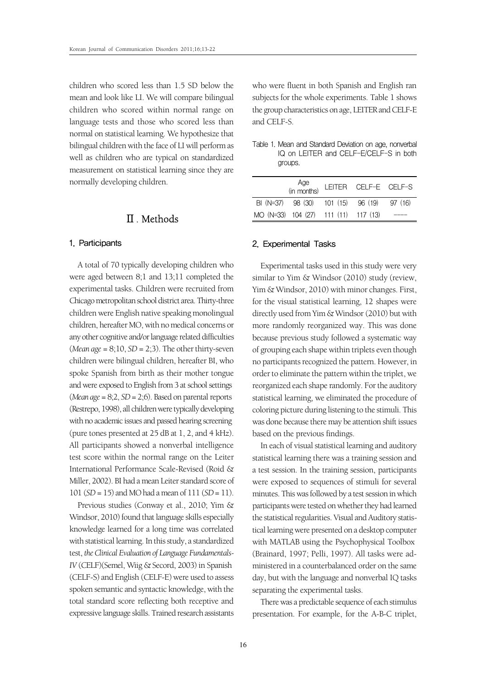children who scored less than 1.5 SD below the mean and look like LI. We will compare bilingual children who scored within normal range on language tests and those who scored less than normal on statistical learning. We hypothesize that bilingual children with the face of LI will perform as well as children who are typical on standardized measurement on statistical learning since they are normally developing children.

## Ⅱ. Methods

#### 1. Participants

A total of 70 typically developing children who were aged between 8;1 and 13;11 completed the experimental tasks. Children were recruited from Chicago metropolitan school district area. Thirty-three children were English native speaking monolingual children, hereafter MO, with no medical concerns or any other cognitive and/or language related difficulties  $(Mean age = 8; 10, SD = 2; 3)$ . The other thirty-seven children were bilingual children, hereafter BI, who spoke Spanish from birth as their mother tongue and were exposed to English from 3 at school settings (*Mean age* = 8;2, *SD*= 2;6). Based on parental reports (Restrepo, 1998), all children were typically developing with no academic issues and passed hearing screening (pure tones presented at 25 dB at 1, 2, and 4 kHz). All participants showed a nonverbal intelligence test score within the normal range on the Leiter International Performance Scale-Revised (Roid & Miller, 2002). BI had a mean Leiter standard score of 101 (*SD*= 15) and MO had a mean of 111 (*SD* = 11).

Previous studies (Conway et al., 2010; Yim & Windsor, 2010) found that language skills especially knowledge learned for a long time was correlated with statistical learning. In this study, a standardized test, *the Clinical Evaluation of Language Fundamentals-IV* (CELF)(Semel, Wiig & Secord, 2003) in Spanish (CELF-S) and English (CELF-E) were used to assess spoken semantic and syntactic knowledge, with the total standard score reflecting both receptive and expressive language skills. Trained research assistants who were fluent in both Spanish and English ran subjects for the whole experiments. Table 1 shows the group characteristics on age, LEITER and CELF-E and CELF-S.

|         | Table 1, Mean and Standard Deviation on age, nonverbal |
|---------|--------------------------------------------------------|
|         | IQ on LEITER and CELF-E/CELF-S in both                 |
| groups. |                                                        |

|                                            | Age<br>(in months) LEITER CELF-E CELF-S |  |  |
|--------------------------------------------|-----------------------------------------|--|--|
| BI (N=37) 98 (30) 101 (15) 96 (19) 97 (16) |                                         |  |  |
| MO (N=33) 104 (27) 111 (11) 117 (13)       |                                         |  |  |

#### 2. Experimental Tasks

Experimental tasks used in this study were very similar to Yim & Windsor (2010) study (review, Yim & Windsor, 2010) with minor changes. First, for the visual statistical learning, 12 shapes were directly used from Yim & Windsor (2010) but with more randomly reorganized way. This was done because previous study followed a systematic way of grouping each shape within triplets even though no participants recognized the pattern. However, in order to eliminate the pattern within the triplet, we reorganized each shape randomly. For the auditory statistical learning, we eliminated the procedure of coloring picture during listening to the stimuli. This was done because there may be attention shift issues based on the previous findings.

In each of visual statistical learning and auditory statistical learning there was a training session and a test session. In the training session, participants were exposed to sequences of stimuli for several minutes. This was followed by a test session in which participants were tested on whether they had learned the statistical regularities. Visual and Auditory statistical learning were presented on a desktop computer with MATLAB using the Psychophysical Toolbox (Brainard, 1997; Pelli, 1997). All tasks were administered in a counterbalanced order on the same day, but with the language and nonverbal IQ tasks separating the experimental tasks.

There was a predictable sequence of each stimulus presentation. For example, for the A-B-C triplet,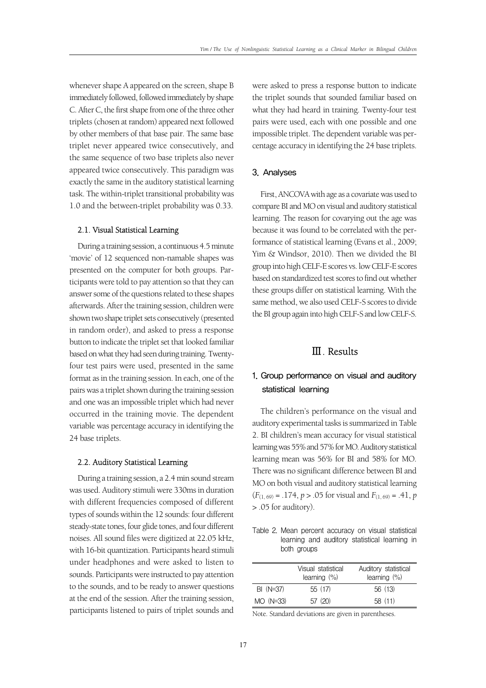whenever shape A appeared on the screen, shape B immediately followed, followed immediately by shape C. After C, the first shape from one of the three other triplets (chosen at random) appeared next followed by other members of that base pair. The same base triplet never appeared twice consecutively, and the same sequence of two base triplets also never appeared twice consecutively. This paradigm was exactly the same in the auditory statistical learning task. The within-triplet transitional probability was 1.0 and the between-triplet probability was 0.33.

#### 2.1. Visual Statistical Learning

During a training session, a continuous 4.5 minute 'movie' of 12 sequenced non-namable shapes was presented on the computer for both groups. Participants were told to pay attention so that they can answer some of the questions related to these shapes afterwards. After the training session, children were shown two shape triplet sets consecutively (presented in random order), and asked to press a response button to indicate the triplet set that looked familiar based on what they had seen during training. Twentyfour test pairs were used, presented in the same format as in the training session. In each, one of the pairs was a triplet shown during the training session and one was an impossible triplet which had never occurred in the training movie. The dependent variable was percentage accuracy in identifying the 24 base triplets.

#### 2.2. Auditory Statistical Learning

During a training session, a 2.4 min sound stream was used. Auditory stimuli were 330ms in duration with different frequencies composed of different types of sounds within the 12 sounds: four different steady-state tones, four glide tones, and four different noises. All sound files were digitized at 22.05 kHz, with 16-bit quantization. Participants heard stimuli under headphones and were asked to listen to sounds. Participants were instructed to pay attention to the sounds, and to be ready to answer questions at the end of the session. After the training session, participants listened to pairs of triplet sounds and were asked to press a response button to indicate the triplet sounds that sounded familiar based on what they had heard in training. Twenty-four test pairs were used, each with one possible and one impossible triplet. The dependent variable was percentage accuracy in identifying the 24 base triplets.

#### 3. Analyses

First, ANCOVA with age as a covariate was used to compare BI and MO on visual and auditory statistical learning. The reason for covarying out the age was because it was found to be correlated with the performance of statistical learning (Evans et al., 2009; Yim & Windsor, 2010). Then we divided the BI group into high CELF-E scores vs. low CELF-E scores based on standardized test scores to find out whether these groups differ on statistical learning. With the same method, we also used CELF-S scores to divide the BI group again into high CELF-S and low CELF-S.

## Ⅲ. Results

## 1. Group performance on visual and auditory statistical learning

The children's performance on the visual and auditory experimental tasks is summarized in Table 2. BI children's mean accuracy for visual statistical learning was 55% and 57% for MO. Auditory statistical learning mean was 56% for BI and 58% for MO. There was no significant difference between BI and MO on both visual and auditory statistical learning  $(F_{(1, 69)} = .174, p > .05$  for visual and  $F_{(1, 69)} = .41, p$ > .05 for auditory).

Table 2. Mean percent accuracy on visual statistical learning and auditory statistical learning in both groups

|             | Visual statistical<br>learning $(\%)$ | Auditory statistical<br>learning $(\%)$ |
|-------------|---------------------------------------|-----------------------------------------|
| $BI (N=37)$ | 55 (17)                               | 56 (13)                                 |
| $MO$ (N=33) | 57(20)                                | 58(11)                                  |

Note. Standard deviations are given in parentheses.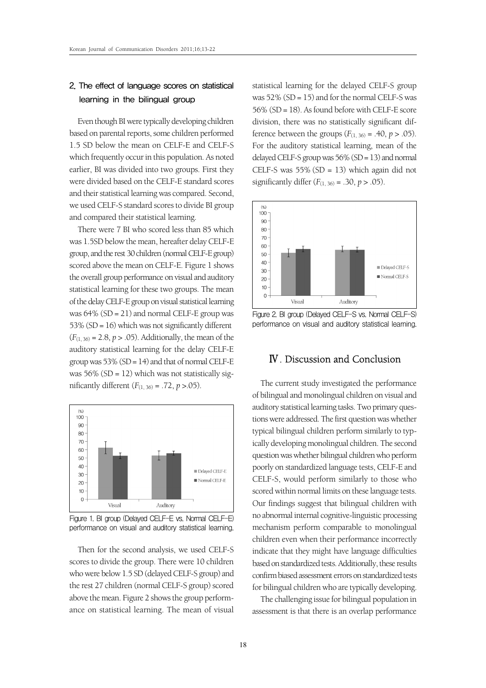## 2. The effect of language scores on statistical learning in the bilingual group

Even though BI were typically developing children based on parental reports, some children performed 1.5 SD below the mean on CELF-E and CELF-S which frequently occur in this population. As noted earlier, BI was divided into two groups. First they were divided based on the CELF-E standard scores and their statistical learning was compared. Second, we used CELF-S standard scores to divide BI group and compared their statistical learning.

There were 7 BI who scored less than 85 which was 1.5SD below the mean, hereafter delay CELF-E group, and the rest 30 children (normal CELF-E group) scored above the mean on CELF-E. Figure 1 shows the overall group performance on visual and auditory statistical learning for these two groups. The mean of the delay CELF-E group on visual statistical learning was 64% (SD = 21) and normal CELF-E group was 53% (SD = 16) which was not significantly different  $(F_{(1, 36)} = 2.8, p > .05)$ . Additionally, the mean of the auditory statistical learning for the delay CELF-E group was  $53\%$  (SD = 14) and that of normal CELF-E was  $56\%$  (SD = 12) which was not statistically significantly different  $(F_{(1, 36)} = .72, p > .05)$ .



Figure 1. BI group (Delayed CELF-E vs. Normal CELF-E) performance on visual and auditory statistical learning.

Then for the second analysis, we used CELF-S scores to divide the group. There were 10 children who were below 1.5 SD (delayed CELF-S group) and the rest 27 children (normal CELF-S group) scored above the mean. Figure 2 shows the group performance on statistical learning. The mean of visual

statistical learning for the delayed CELF-S group was  $52\%$  (SD = 15) and for the normal CELF-S was 56% (SD = 18). As found before with CELF-E score division, there was no statistically significant difference between the groups  $(F_{(1, 36)} = .40, p > .05)$ . For the auditory statistical learning, mean of the delayed CELF-S group was  $56\%$  (SD = 13) and normal CELF-S was 55% (SD = 13) which again did not significantly differ  $(F_{(1, 36)} = .30, p > .05)$ .



Figure 2. BI group (Delayed CELF-S vs. Normal CELF-S) performance on visual and auditory statistical learning.

## Ⅳ. Discussion and Conclusion

The current study investigated the performance of bilingual and monolingual children on visual and auditory statistical learning tasks. Two primary questions were addressed. The first question was whether typical bilingual children perform similarly to typically developing monolingual children. The second question was whether bilingual children who perform poorly on standardized language tests, CELF-E and CELF-S, would perform similarly to those who scored within normal limits on these language tests. Our findings suggest that bilingual children with no abnormal internal cognitive-linguistic processing mechanism perform comparable to monolingual children even when their performance incorrectly indicate that they might have language difficulties based on standardized tests. Additionally, these results confirm biased assessment errors on standardized tests for bilingual children who are typically developing.

The challenging issue for bilingual population in assessment is that there is an overlap performance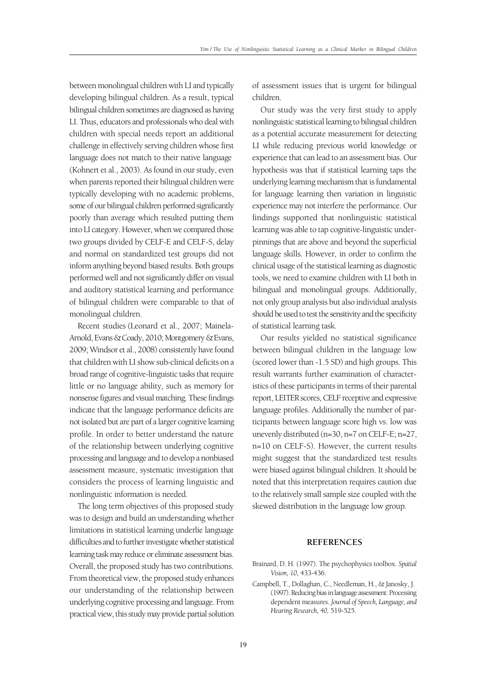between monolingual children with LI and typically developing bilingual children. As a result, typical bilingual children sometimes are diagnosed as having LI. Thus, educators and professionals who deal with children with special needs report an additional challenge in effectively serving children whose first language does not match to their native language (Kohnert et al., 2003). As found in our study, even when parents reported their bilingual children were typically developing with no academic problems, some of our bilingual children performed significantly poorly than average which resulted putting them into LI category. However, when we compared those two groups divided by CELF-E and CELF-S, delay and normal on standardized test groups did not inform anything beyond biased results. Both groups performed well and not significantly differ on visual and auditory statistical learning and performance of bilingual children were comparable to that of monolingual children.

Recent studies (Leonard et al., 2007; Mainela-Arnold, Evans & Coady, 2010; Montgomery & Evans, 2009; Windsor et al., 2008) consistently have found that children with LI show sub-clinical deficits on a broad range of cognitive-linguistic tasks that require little or no language ability, such as memory for nonsense figures and visual matching. These findings indicate that the language performance deficits are not isolated but are part of a larger cognitive learning profile. In order to better understand the nature of the relationship between underlying cognitive processing and language and to develop a nonbiased assessment measure, systematic investigation that considers the process of learning linguistic and nonlinguistic information is needed.

The long term objectives of this proposed study was to design and build an understanding whether limitations in statistical learning underlie language difficulties and to further investigate whether statistical learning task may reduce or eliminate assessment bias. Overall, the proposed study has two contributions. From theoretical view, the proposed study enhances our understanding of the relationship between underlying cognitive processing and language. From practical view, this study may provide partial solution of assessment issues that is urgent for bilingual children.

Our study was the very first study to apply nonlinguistic statistical learning to bilingual children as a potential accurate measurement for detecting LI while reducing previous world knowledge or experience that can lead to an assessment bias. Our hypothesis was that if statistical learning taps the underlying learning mechanism that is fundamental for language learning then variation in linguistic experience may not interfere the performance. Our findings supported that nonlinguistic statistical learning was able to tap cognitive-linguistic underpinnings that are above and beyond the superficial language skills. However, in order to confirm the clinical usage of the statistical learning as diagnostic tools, we need to examine children with LI both in bilingual and monolingual groups. Additionally, not only group analysis but also individual analysis should be used to test the sensitivity and the specificity of statistical learning task.

Our results yielded no statistical significance between bilingual children in the language low (scored lower than -1.5 SD) and high groups. This result warrants further examination of characteristics of these participants in terms of their parental report, LEITER scores, CELF receptive and expressive language profiles. Additionally the number of participants between language score high vs. low was unevenly distributed (n=30, n=7 on CELF-E; n=27, n=10 on CELF-S). However, the current results might suggest that the standardized test results were biased against bilingual children. It should be noted that this interpretation requires caution due to the relatively small sample size coupled with the skewed distribution in the language low group.

#### **REFERENCES**

- Brainard, D. H. (1997). The psychophysics toolbox. *Spatial Vision, 10,* 433-436.
- Campbell, T., Dollaghan, C., Needleman, H., & Janosky, J. (1997). Reducing bias in language assessment: Processing dependent measures. *Journal of Speech, Language, and Hearing Research, 40,* 519-525.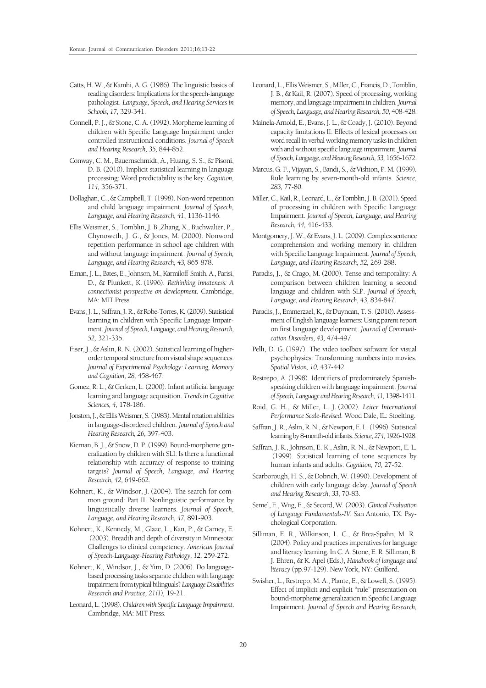- Catts, H. W., & Kamhi, A. G. (1986). The linguistic basics of reading disorders: Implications for the speech-language pathologist. *Language, Speech, and Hearing Services in Schools, 17,* 329-341.
- Connell, P. J., & Stone, C. A. (1992). Morpheme learning of children with Specific Language Impairment under controlled instructional conditions. *Journal of Speech and Hearing Research, 35,* 844-852.
- Conway, C. M., Bauernschmidt, A., Huang, S. S., & Pisoni, D. B. (2010). Implicit statistical learning in language processing: Word predictability is the key. *Cognition, 114,* 356-371.
- Dollaghan, C., & Campbell, T. (1998). Non-word repetition and child language impairment. *Journal of Speech, Language, and Hearing Research, 41*, 1136-1146.
- Ellis Weismer, S., Tomblin, J. B.,Zhang, X., Buchwalter, P., Chynoweth, J. G., & Jones, M. (2000). Nonword repetition performance in school age children with and without language impairment. *Journal of Speech, Language, and Hearing Research, 43,* 865-878.
- Elman, J. L., Bates, E., Johnson, M., Karmiloff-Smith, A., Parisi, D., & Plunkett, K. (1996). *Rethinking innateness: A connectionist perspective on development.* Cambridge, MA: MIT Press.
- Evans, J. L., Saffran, J. R., & Robe-Torres, K. (2009). Statistical learning in children with Specific Language Impairment. *Journal of Speech, Language, and Hearing Research, 52,* 321-335.
- Fiser, J., & Aslin, R. N. (2002). Statistical learning of higherorder temporal structure from visual shape sequences. *Journal of Experimental Psychology: Learning, Memory and Cognition, 28,* 458-467.
- Gomez, R. L., & Gerken, L. (2000). Infant artificial language learning and language acquisition. *Trends in Cognitive Sciences, 4,* 178-186.
- Jonston, J., & Ellis Weismer, S. (1983). Mental rotation abilities in language-disordered children. *Journal of Speech and Hearing Research, 26,* 397-403.
- Kiernan, B. J., & Snow, D. P. (1999). Bound-morpheme generalization by children with SLI: Is there a functional relationship with accuracy of response to training targets? *Journal of Speech, Language, and Hearing Research, 42,* 649-662.
- Kohnert, K., & Windsor, J. (2004). The search for common ground: Part II. Nonlinguistic performance by linguistically diverse learners. *Journal of Speech, Language, and Hearing Research, 47,* 891-903.
- Kohnert, K., Kennedy, M., Glaze, L., Kan, P., & Carney, E. (2003). Breadth and depth of diversity in Minnesota: Challenges to clinical competency. *American Journal of Speech-Language-Hearing Pathology, 12,* 259-272.
- Kohnert, K., Windsor, J., & Yim, D. (2006). Do languagebased processing tasks separate children with language impairment from typical bilinguals? *Language Disabilities Research and Practice, 21(1),* 19-21.
- Leonard, L. (1998). *Children with Specific Language Impairment*. Cambridge, MA: MIT Press.
- Leonard, L., Ellis Weismer, S., Miller, C., Francis, D., Tomblin, J. B., & Kail, R. (2007). Speed of processing, working memory, and language impairment in children. *Journal of Speech, Language, and Hearing Research, 50,* 408-428.
- Mainela-Arnold, E., Evans, J. L., & Coady, J. (2010). Beyond capacity limitations II: Effects of lexical processes on word recall in verbal working memory tasks in children with and without specific language impairment. *Journal of Speech, Language, and Hearing Research, 53,* 1656-1672.
- Marcus, G. F., Vijayan, S., Bandi, S., & Vishton, P. M. (1999). Rule learning by seven-month-old infants. *Science, 283,* 77-80.
- Miller, C., Kail, R., Leonard, L., & Tomblin, J. B. (2001). Speed of processing in children with Specific Language Impairment. *Journal of Speech, Language, and Hearing Research, 44,* 416-433.
- Montgomery, J. W., & Evans, J. L. (2009). Complex sentence comprehension and working memory in children with Specific Language Impairment. *Journal of Speech, Language, and Hearing Research, 52,* 269-288.
- Paradis, J., & Crago, M. (2000). Tense and temporality: A comparison between children learning a second language and children with SLP. *Journal of Speech, Language, and Hearing Research, 43,* 834-847.
- Paradis, J., Emmerzael, K., & Duyncan, T. S. (2010). Assessment of English language learners: Using parent report on first language development. *Journal of Communication Disorders, 43,* 474-497.
- Pelli, D. G. (1997). The video toolbox software for visual psychophysics: Transforming numbers into movies. *Spatial Vision, 10,* 437-442.
- Restrepo, A. (1998). Identifiers of predominately Spanishspeaking children with language impairment. *Journal of Speech, Language and Hearing Research, 41,* 1398-1411.
- Roid, G. H., & Miller, L. J. (2002). *Leiter International Performance Scale-Revised*. Wood Dale, IL: Stoelting.
- Saffran, J. R., Aslin, R. N., & Newport, E. L. (1996). Statistical learning by 8-month-old infants. *Science, 274,* 1926-1928.
- Saffran, J. R., Johnson, E. K., Aslin, R. N., & Newport, E. L. (1999). Statistical learning of tone sequences by human infants and adults. *Cognition, 70,* 27-52.
- Scarborough, H. S., & Dobrich, W. (1990). Development of children with early language delay. *Journal of Speech and Hearing Research, 33,* 70-83.
- Semel, E., Wiig, E., & Secord, W. (2003). *Clinical Evaluation of Language Fundamentals-IV.* San Antonio, TX: Psychological Corporation.
- Silliman, E. R., Wilkinson, L. C., & Brea-Spahn, M. R. (2004). Policy and practices imperatives for language and literacy learning. In C. A. Stone, E. R. Silliman, B. J. Ehren, & K. Apel (Eds.), *Handbook of language and literacy* (pp.97-129). New York, NY: Guilford.
- Swisher, L., Restrepo, M. A., Plante, E., & Lowell, S. (1995). Effect of implicit and explicit "rule" presentation on bound-morpheme generalization in Specific Language Impairment. *Journal of Speech and Hearing Research,*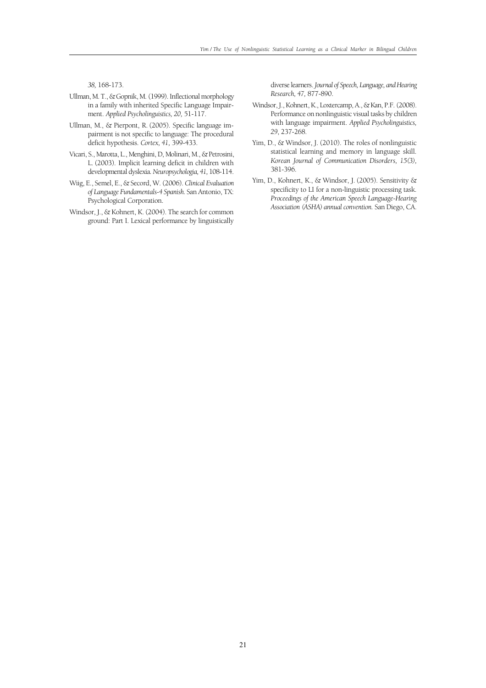*38,* 168-173.

- Ullman, M. T., & Gopnik, M. (1999). Inflectional morphology in a family with inherited Specific Language Impairment. *Applied Psycholinguistics, 20,* 51-117.
- Ullman, M., & Pierpont, R. (2005). Specific language impairment is not specific to language: The procedural deficit hypothesis. *Cortex, 41,* 399-433.
- Vicari, S., Marotta, L., Menghini, D, Molinari, M., & Petrosini, L. (2003). Implicit learning deficit in children with developmental dyslexia*. Neuropsychologia, 41,* 108-114.
- Wiig, E., Semel, E., & Secord, W. (2006). *Clinical Evaluation of Language Fundamentals-4 Spanish.* San Antonio, TX: Psychological Corporation.
- Windsor, J., & Kohnert, K. (2004). The search for common ground: Part I. Lexical performance by linguistically

diverse learners. *Journal of Speech, Language, and Hearing Research, 47,* 877-890.

- Windsor, J., Kohnert, K., Loxtercamp, A., & Kan, P.F. (2008). Performance on nonlinguistic visual tasks by children with language impairment. *Applied Psycholinguistics, 29*, 237-268.
- Yim, D., & Windsor, J. (2010). The roles of nonlinguistic statistical learning and memory in language skill. *Korean Journal of Communication Disorders, 15(3),*  381-396.
- Yim, D., Kohnert, K., & Windsor, J. (2005). Sensitivity & specificity to LI for a non-linguistic processing task. *Proceedings of the American Speech Language-Hearing Association (ASHA) annual convention.* San Diego, CA.